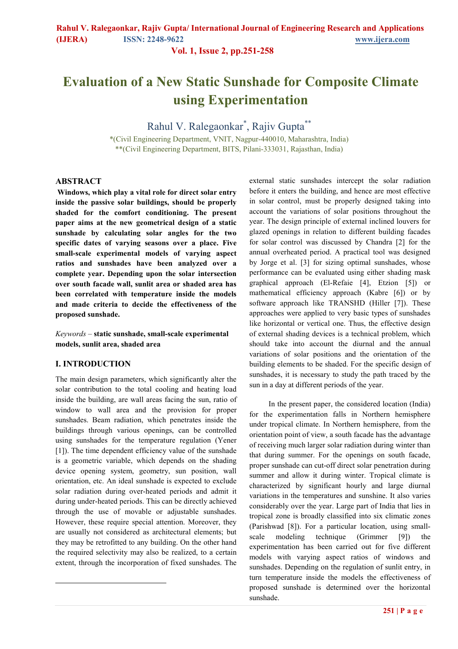**Vol. 1, Issue 2, pp.251-258**

# **Evaluation of a New Static Sunshade for Composite Climate using Experimentation**

Rahul V. Ralegaonkar\* , Rajiv Gupta\*\*

\*(Civil Engineering Department, VNIT, Nagpur-440010, Maharashtra, India) \*\*(Civil Engineering Department, BITS, Pilani-333031, Rajasthan, India)

### **ABSTRACT**

**Windows, which play a vital role for direct solar entry inside the passive solar buildings, should be properly shaded for the comfort conditioning. The present paper aims at the new geometrical design of a static sunshade by calculating solar angles for the two specific dates of varying seasons over a place. Five small-scale experimental models of varying aspect ratios and sunshades have been analyzed over a complete year. Depending upon the solar intersection over south facade wall, sunlit area or shaded area has been correlated with temperature inside the models and made criteria to decide the effectiveness of the proposed sunshade.**

*Keywords –* **static sunshade, small-scale experimental models, sunlit area, shaded area** 

### **I. INTRODUCTION<sup>1</sup>**

 $\overline{a}$ 

The main design parameters, which significantly alter the solar contribution to the total cooling and heating load inside the building, are wall areas facing the sun, ratio of window to wall area and the provision for proper sunshades. Beam radiation, which penetrates inside the buildings through various openings, can be controlled using sunshades for the temperature regulation (Yener [1]). The time dependent efficiency value of the sunshade is a geometric variable, which depends on the shading device opening system, geometry, sun position, wall orientation, etc. An ideal sunshade is expected to exclude solar radiation during over-heated periods and admit it during under-heated periods. This can be directly achieved through the use of movable or adjustable sunshades. However, these require special attention. Moreover, they are usually not considered as architectural elements; but they may be retrofitted to any building. On the other hand the required selectivity may also be realized, to a certain extent, through the incorporation of fixed sunshades. The

external static sunshades intercept the solar radiation before it enters the building, and hence are most effective in solar control, must be properly designed taking into account the variations of solar positions throughout the year. The design principle of external inclined louvers for glazed openings in relation to different building facades for solar control was discussed by Chandra [2] for the annual overheated period. A practical tool was designed by Jorge et al. [3] for sizing optimal sunshades, whose performance can be evaluated using either shading mask graphical approach (El-Refaie [4], Etzion [5]) or mathematical efficiency approach (Kabre [6]) or by software approach like TRANSHD (Hiller [7]). These approaches were applied to very basic types of sunshades like horizontal or vertical one. Thus, the effective design of external shading devices is a technical problem, which should take into account the diurnal and the annual variations of solar positions and the orientation of the building elements to be shaded. For the specific design of sunshades, it is necessary to study the path traced by the sun in a day at different periods of the year.

In the present paper, the considered location (India) for the experimentation falls in Northern hemisphere under tropical climate. In Northern hemisphere, from the orientation point of view, a south facade has the advantage of receiving much larger solar radiation during winter than that during summer. For the openings on south facade, proper sunshade can cut-off direct solar penetration during summer and allow it during winter. Tropical climate is characterized by significant hourly and large diurnal variations in the temperatures and sunshine. It also varies considerably over the year. Large part of India that lies in tropical zone is broadly classified into six climatic zones (Parishwad [8]). For a particular location, using smallscale modeling technique (Grimmer [9]) the experimentation has been carried out for five different models with varying aspect ratios of windows and sunshades. Depending on the regulation of sunlit entry, in turn temperature inside the models the effectiveness of proposed sunshade is determined over the horizontal sunshade.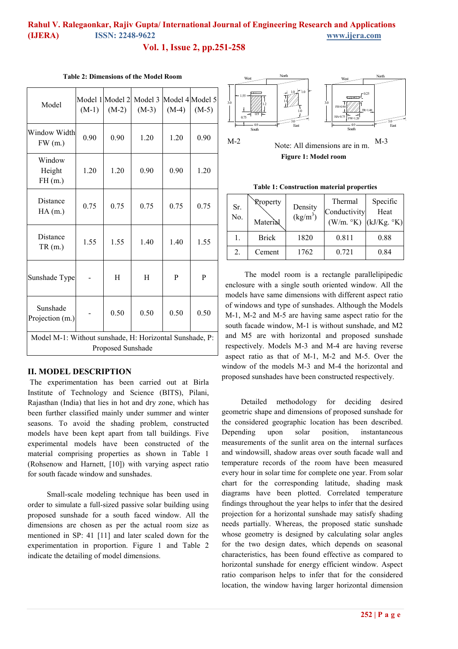**Vol. 1, Issue 2, pp.251-258**

| Model                                                   | $(M-1)$ | $(M-2)$ | Model 1 Model 2 Model 3 Model 4 Model 5<br>$(M-3)$ | $(M-4)$ | $(M-5)$ |
|---------------------------------------------------------|---------|---------|----------------------------------------------------|---------|---------|
| Window Width<br>FW(m.)                                  | 0.90    | 0.90    | 1.20                                               | 1.20    | 0.90    |
| Window<br>Height<br>FH(m.)                              | 1.20    | 1.20    | 0.90                                               | 0.90    | 1.20    |
| Distance<br>HA(m.)                                      | 0.75    | 0.75    | 0.75                                               | 0.75    | 0.75    |
| Distance<br>TR(m.)                                      | 1.55    | 1.55    | 1.40                                               | 1.40    | 1.55    |
| Sunshade Type                                           |         | H       | H                                                  | P       | P       |
| Sunshade<br>Projection (m.)                             |         | 0.50    | 0.50                                               | 0.50    | 0.50    |
| Model M-1: Without sunshade, H: Horizontal Sunshade, P: |         |         |                                                    |         |         |
| <b>Proposed Sunshade</b>                                |         |         |                                                    |         |         |

**Table 2: Dimensions of the Model Room** 

#### **II. MODEL DESCRIPTION**

The experimentation has been carried out at Birla Institute of Technology and Science (BITS), Pilani, Rajasthan (India) that lies in hot and dry zone, which has been further classified mainly under summer and winter seasons. To avoid the shading problem, constructed models have been kept apart from tall buildings. Five experimental models have been constructed of the material comprising properties as shown in Table 1 (Rohsenow and Harnett, [10]) with varying aspect ratio for south facade window and sunshades.

Small-scale modeling technique has been used in order to simulate a full-sized passive solar building using proposed sunshade for a south faced window. All the dimensions are chosen as per the actual room size as mentioned in SP: 41 [11] and later scaled down for the experimentation in proportion. Figure 1 and Table 2 indicate the detailing of model dimensions.





**Table 1: Construction material properties** 

| Sr.<br>No. | <b>Rroperty</b><br>Material | Density<br>$(kg/m^3)$ | Thermal<br>Conductivity<br>(W/m. °K) | Specific<br>Heat<br>(kJ/Kg. °K) |
|------------|-----------------------------|-----------------------|--------------------------------------|---------------------------------|
| l.         | <b>Brick</b>                | 1820                  | 0.811                                | 0.88                            |
| 2.         | Cement                      | 1762                  | 0.721                                | 0.84                            |

The model room is a rectangle parallelipipedic enclosure with a single south oriented window. All the models have same dimensions with different aspect ratio of windows and type of sunshades. Although the Models M-1, M-2 and M-5 are having same aspect ratio for the south facade window, M-1 is without sunshade, and M2 and M5 are with horizontal and proposed sunshade respectively. Models M-3 and M-4 are having reverse aspect ratio as that of M-1, M-2 and M-5. Over the window of the models M-3 and M-4 the horizontal and proposed sunshades have been constructed respectively.

Detailed methodology for deciding desired geometric shape and dimensions of proposed sunshade for the considered geographic location has been described. Depending upon solar position, instantaneous measurements of the sunlit area on the internal surfaces and windowsill, shadow areas over south facade wall and temperature records of the room have been measured every hour in solar time for complete one year. From solar chart for the corresponding latitude, shading mask diagrams have been plotted. Correlated temperature findings throughout the year helps to infer that the desired projection for a horizontal sunshade may satisfy shading needs partially. Whereas, the proposed static sunshade whose geometry is designed by calculating solar angles for the two design dates, which depends on seasonal characteristics, has been found effective as compared to horizontal sunshade for energy efficient window. Aspect ratio comparison helps to infer that for the considered location, the window having larger horizontal dimension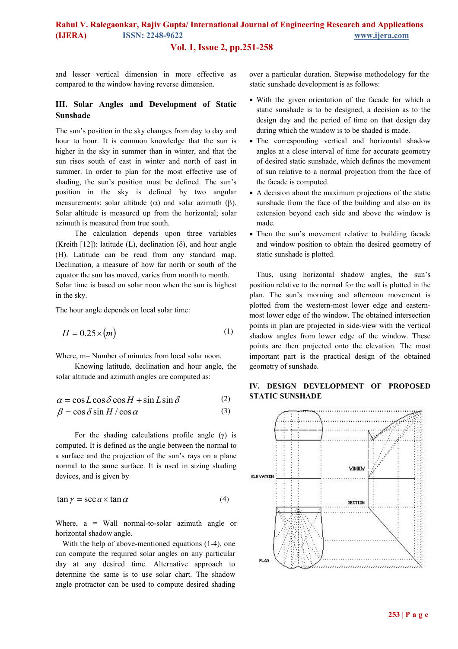### **Vol. 1, Issue 2, pp.251-258**

and lesser vertical dimension in more effective as compared to the window having reverse dimension.

### **III. Solar Angles and Development of Static Sunshade**

The sun's position in the sky changes from day to day and hour to hour. It is common knowledge that the sun is higher in the sky in summer than in winter, and that the sun rises south of east in winter and north of east in summer. In order to plan for the most effective use of shading, the sun's position must be defined. The sun's position in the sky is defined by two angular measurements: solar altitude ( $\alpha$ ) and solar azimuth ( $\beta$ ). Solar altitude is measured up from the horizontal; solar azimuth is measured from true south.

The calculation depends upon three variables (Kreith [12]): latitude (L), declination (δ), and hour angle (H). Latitude can be read from any standard map. Declination, a measure of how far north or south of the equator the sun has moved, varies from month to month. Solar time is based on solar noon when the sun is highest in the sky.

The hour angle depends on local solar time:

$$
H = 0.25 \times (m) \tag{1}
$$

Where, m= Number of minutes from local solar noon.

Knowing latitude, declination and hour angle, the solar altitude and azimuth angles are computed as:

$$
\alpha = \cos L \cos \delta \cos H + \sin L \sin \delta \tag{2}
$$

$$
\beta = \cos \delta \sin H / \cos \alpha \tag{3}
$$

For the shading calculations profile angle  $(\gamma)$  is computed. It is defined as the angle between the normal to a surface and the projection of the sun's rays on a plane normal to the same surface. It is used in sizing shading devices, and is given by

$$
\tan \gamma = \sec a \times \tan \alpha \tag{4}
$$

Where,  $a =$  Wall normal-to-solar azimuth angle or horizontal shadow angle.

With the help of above-mentioned equations (1-4), one can compute the required solar angles on any particular day at any desired time. Alternative approach to determine the same is to use solar chart. The shadow angle protractor can be used to compute desired shading over a particular duration. Stepwise methodology for the static sunshade development is as follows:

- With the given orientation of the facade for which a static sunshade is to be designed, a decision as to the design day and the period of time on that design day during which the window is to be shaded is made.
- The corresponding vertical and horizontal shadow angles at a close interval of time for accurate geometry of desired static sunshade, which defines the movement of sun relative to a normal projection from the face of the facade is computed.
- A decision about the maximum projections of the static sunshade from the face of the building and also on its extension beyond each side and above the window is made.
- Then the sun's movement relative to building facade and window position to obtain the desired geometry of static sunshade is plotted.

Thus, using horizontal shadow angles, the sun's position relative to the normal for the wall is plotted in the plan. The sun's morning and afternoon movement is plotted from the western-most lower edge and easternmost lower edge of the window. The obtained intersection points in plan are projected in side-view with the vertical shadow angles from lower edge of the window. These points are then projected onto the elevation. The most important part is the practical design of the obtained geometry of sunshade.



#### **IV. DESIGN DEVELOPMENT OF PROPOSED STATIC SUNSHADE**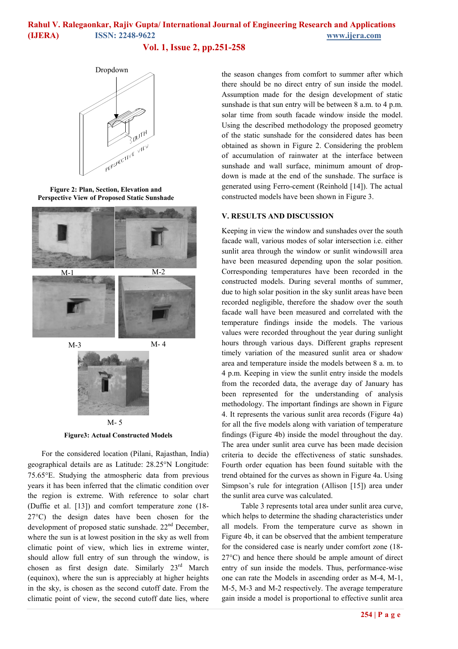**Vol. 1, Issue 2, pp.251-258**



**Figure 2: Plan, Section, Elevation and Perspective View of Proposed Static Sunshade** 





**Figure3: Actual Constructed Models**  M- 5

 For the considered location (Pilani, Rajasthan, India) geographical details are as Latitude: 28.25°N Longitude: 75.65°E. Studying the atmospheric data from previous years it has been inferred that the climatic condition over the region is extreme. With reference to solar chart (Duffie et al. [13]) and comfort temperature zone (18- 27°C) the design dates have been chosen for the development of proposed static sunshade. 22<sup>nd</sup> December, where the sun is at lowest position in the sky as well from climatic point of view, which lies in extreme winter, should allow full entry of sun through the window, is chosen as first design date. Similarly 23<sup>rd</sup> March (equinox), where the sun is appreciably at higher heights in the sky, is chosen as the second cutoff date. From the climatic point of view, the second cutoff date lies, where the season changes from comfort to summer after which there should be no direct entry of sun inside the model. Assumption made for the design development of static sunshade is that sun entry will be between 8 a.m. to 4 p.m. solar time from south facade window inside the model. Using the described methodology the proposed geometry of the static sunshade for the considered dates has been obtained as shown in Figure 2. Considering the problem of accumulation of rainwater at the interface between sunshade and wall surface, minimum amount of dropdown is made at the end of the sunshade. The surface is generated using Ferro-cement (Reinhold [14]). The actual constructed models have been shown in Figure 3.

### **V. RESULTS AND DISCUSSION**

Keeping in view the window and sunshades over the south facade wall, various modes of solar intersection i.e. either sunlit area through the window or sunlit windowsill area have been measured depending upon the solar position. Corresponding temperatures have been recorded in the constructed models. During several months of summer, due to high solar position in the sky sunlit areas have been recorded negligible, therefore the shadow over the south facade wall have been measured and correlated with the temperature findings inside the models. The various values were recorded throughout the year during sunlight hours through various days. Different graphs represent timely variation of the measured sunlit area or shadow area and temperature inside the models between 8 a. m. to 4 p.m. Keeping in view the sunlit entry inside the models from the recorded data, the average day of January has been represented for the understanding of analysis methodology. The important findings are shown in Figure 4. It represents the various sunlit area records (Figure 4a) for all the five models along with variation of temperature findings (Figure 4b) inside the model throughout the day. The area under sunlit area curve has been made decision criteria to decide the effectiveness of static sunshades. Fourth order equation has been found suitable with the trend obtained for the curves as shown in Figure 4a. Using Simpson's rule for integration (Allison [15]) area under the sunlit area curve was calculated.

 Table 3 represents total area under sunlit area curve, which helps to determine the shading characteristics under all models. From the temperature curve as shown in Figure 4b, it can be observed that the ambient temperature for the considered case is nearly under comfort zone (18- 27°C) and hence there should be ample amount of direct entry of sun inside the models. Thus, performance-wise one can rate the Models in ascending order as M-4, M-1, M-5, M-3 and M-2 respectively. The average temperature gain inside a model is proportional to effective sunlit area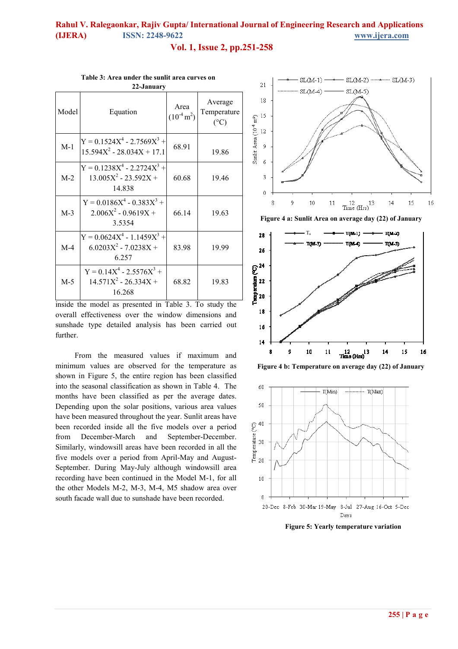### **Vol. 1, Issue 2, pp.251-258**

| 22-January |                                                                         |                                 |                                         |
|------------|-------------------------------------------------------------------------|---------------------------------|-----------------------------------------|
| Model      | Equation                                                                | Area<br>$(10^{-4} \text{ m}^2)$ | Average<br>Temperature<br>$(^{\circ}C)$ |
| $M-1$      | $Y = 0.1524X^{4} - 2.7569X^{3} +$<br>$15.594X^2 - 28.034X + 17.1$       | 68.91                           | 19.86                                   |
| $M-2$      | $Y = 0.1238X^{4} - 2.2724X^{3} +$<br>$13.005X^2 - 23.592X +$<br>14.838  | 60.68                           | 19.46                                   |
| $M-3$      | $Y = 0.0186X^{4} - 0.383X^{3} +$<br>$2.006X^2 - 0.9619X +$<br>3.5354    | 66.14                           | 19.63                                   |
| $M-4$      | $Y = 0.0624X^{4} - 1.1459X^{3} +$<br>$6.0203X^2 - 7.0238X +$<br>6 2 5 7 | 83.98                           | 19.99                                   |
| $M-5$      | $Y = 0.14X^{4} - 2.5576X^{3} +$<br>$14.571X^2 - 26.334X +$<br>16.268    | 68.82                           | 19.83                                   |

**Table 3: Area under the sunlit area curves on** 

inside the model as presented in Table 3. To study the overall effectiveness over the window dimensions and sunshade type detailed analysis has been carried out further.

From the measured values if maximum and minimum values are observed for the temperature as shown in Figure 5, the entire region has been classified into the seasonal classification as shown in Table 4. The months have been classified as per the average dates. Depending upon the solar positions, various area values have been measured throughout the year. Sunlit areas have been recorded inside all the five models over a period from December-March and September-December. Similarly, windowsill areas have been recorded in all the five models over a period from April-May and August-September. During May-July although windowsill area recording have been continued in the Model M-1, for all the other Models M-2, M-3, M-4, M5 shadow area over south facade wall due to sunshade have been recorded.







**Figure 5: Yearly temperature variation**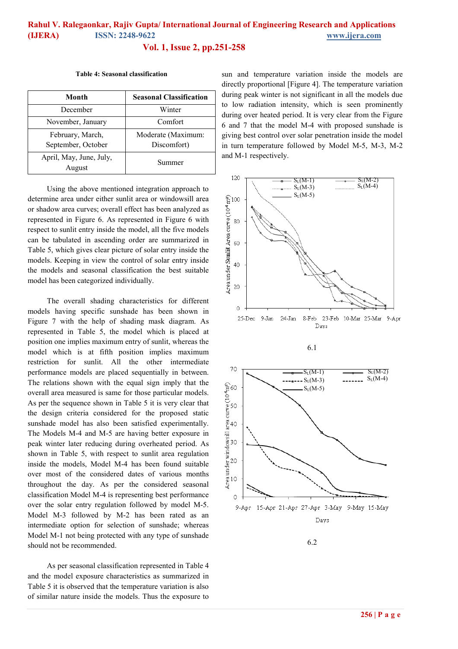**Vol. 1, Issue 2, pp.251-258**

#### **Table 4: Seasonal classification**

| Month                                  | <b>Seasonal Classification</b>    |  |
|----------------------------------------|-----------------------------------|--|
| December                               | Winter                            |  |
| November, January                      | Comfort                           |  |
| February, March,<br>September, October | Moderate (Maximum:<br>Discomfort) |  |
| April, May, June, July,<br>August      | Summer                            |  |

Using the above mentioned integration approach to determine area under either sunlit area or windowsill area or shadow area curves; overall effect has been analyzed as represented in Figure 6. As represented in Figure 6 with respect to sunlit entry inside the model, all the five models can be tabulated in ascending order are summarized in Table 5, which gives clear picture of solar entry inside the models. Keeping in view the control of solar entry inside the models and seasonal classification the best suitable model has been categorized individually.

The overall shading characteristics for different models having specific sunshade has been shown in Figure 7 with the help of shading mask diagram. As represented in Table 5, the model which is placed at position one implies maximum entry of sunlit, whereas the model which is at fifth position implies maximum restriction for sunlit. All the other intermediate performance models are placed sequentially in between. The relations shown with the equal sign imply that the overall area measured is same for those particular models. As per the sequence shown in Table 5 it is very clear that the design criteria considered for the proposed static sunshade model has also been satisfied experimentally. The Models M-4 and M-5 are having better exposure in peak winter later reducing during overheated period. As shown in Table 5, with respect to sunlit area regulation inside the models, Model M-4 has been found suitable over most of the considered dates of various months throughout the day. As per the considered seasonal classification Model M-4 is representing best performance over the solar entry regulation followed by model M-5. Model M-3 followed by M-2 has been rated as an intermediate option for selection of sunshade; whereas Model M-1 not being protected with any type of sunshade should not be recommended.

As per seasonal classification represented in Table 4 and the model exposure characteristics as summarized in Table 5 it is observed that the temperature variation is also of similar nature inside the models. Thus the exposure to sun and temperature variation inside the models are directly proportional [Figure 4]. The temperature variation during peak winter is not significant in all the models due to low radiation intensity, which is seen prominently during over heated period. It is very clear from the Figure 6 and 7 that the model M-4 with proposed sunshade is giving best control over solar penetration inside the model in turn temperature followed by Model M-5, M-3, M-2 and M-1 respectively.







6.2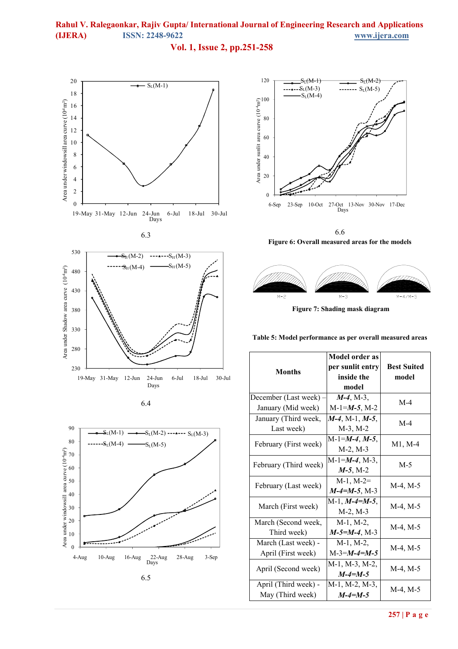### **Vol. 1, Issue 2, pp.251-258**







6.4





6.6 **Figure 6: Overall measured areas for the models** 



 **Figure 7: Shading mask diagram** 

**Table 5: Model performance as per overall measured areas**

|                       | Model order as      |                    |  |
|-----------------------|---------------------|--------------------|--|
| <b>Months</b>         | per sunlit entry    | <b>Best Suited</b> |  |
|                       | inside the          | model              |  |
|                       | model               |                    |  |
| December (Last week)  | $M-4$ , M-3,        |                    |  |
| January (Mid week)    | $M-1=M-5$ , M-2     | $M-4$              |  |
| January (Third week,  | $M-4$ , M-1, M-5,   |                    |  |
| Last week)            | $M-3$ , $M-2$       | $M-4$              |  |
|                       | $M-1=M-4, M-5,$     |                    |  |
| February (First week) | $M-2, M-3$          | M1, M-4            |  |
| February (Third week) | $M-1=M-4$ , M-3,    | M-5                |  |
|                       | $M-5$ , M-2         |                    |  |
|                       | $M-1$ , $M-2=$      |                    |  |
| February (Last week)  | $M-4=M-5$ , M-3     | $M-4, M-5$         |  |
|                       | $M-1$ , $M-4=M-5$ , | $M-4, M-5$         |  |
| March (First week)    | M-2, M-3            |                    |  |
| March (Second week,   | $M-1$ , $M-2$ ,     |                    |  |
| Third week)           | $M-5=M-4$ , M-3     | $M-4, M-5$         |  |
| March (Last week) -   | $M-1$ , $M-2$ ,     |                    |  |
| April (First week)    | $M-3=M-4=M-5$       | $M-4, M-5$         |  |
| April (Second week)   | M-1, M-3, M-2,      |                    |  |
|                       | $M - 4 = M - 5$     | $M-4, M-5$         |  |
| April (Third week) -  | M-1, M-2, M-3,      | $M-4, M-5$         |  |
| May (Third week)      | $M - 4 = M - 5$     |                    |  |